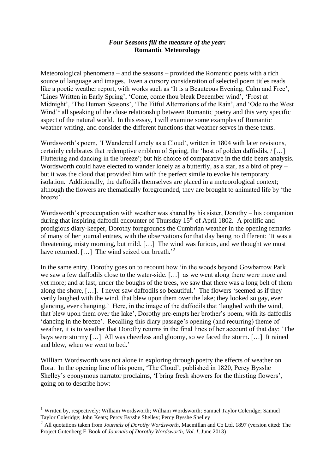## *Four Seasons fill the measure of the year:* **Romantic Meteorology**

Meteorological phenomena – and the seasons – provided the Romantic poets with a rich source of language and images. Even a cursory consideration of selected poem titles reads like a poetic weather report, with works such as 'It is a Beauteous Evening, Calm and Free', 'Lines Written in Early Spring', 'Come, come thou bleak December wind', 'Frost at Midnight', 'The Human Seasons', 'The Fitful Alternations of the Rain', and 'Ode to the West Wind'<sup>1</sup> all speaking of the close relationship between Romantic poetry and this very specific aspect of the natural world. In this essay, I will examine some examples of Romantic weather-writing, and consider the different functions that weather serves in these texts.

Wordsworth's poem, 'I Wandered Lonely as a Cloud', written in 1804 with later revisions, certainly celebrates that redemptive emblem of Spring, the 'host of golden daffodils, / […] Fluttering and dancing in the breeze'; but his choice of comparative in the title bears analysis. Wordsworth could have elected to wander lonely as a butterfly, as a star, as a bird of prey – but it was the cloud that provided him with the perfect simile to evoke his temporary isolation. Additionally, the daffodils themselves are placed in a meteorological context; although the flowers are thematically foregrounded, they are brought to animated life by 'the breeze'.

Wordsworth's preoccupation with weather was shared by his sister, Dorothy – his companion during that inspiring daffodil encounter of Thursday 15<sup>th</sup> of April 1802. A prolific and prodigious diary-keeper, Dorothy foregrounds the Cumbrian weather in the opening remarks of many of her journal entries, with the observations for that day being no different: 'It was a threatening, misty morning, but mild. […] The wind was furious, and we thought we must have returned. [...] The wind seized our breath.<sup>2</sup>

In the same entry, Dorothy goes on to recount how 'in the woods beyond Gowbarrow Park we saw a few daffodils close to the water-side. […] as we went along there were more and yet more; and at last, under the boughs of the trees, we saw that there was a long belt of them along the shore, […]. I never saw daffodils so beautiful.' The flowers 'seemed as if they verily laughed with the wind, that blew upon them over the lake; they looked so gay, ever glancing, ever changing.' Here, in the image of the daffodils that 'laughed with the wind, that blew upon them over the lake', Dorothy pre-empts her brother's poem, with its daffodils 'dancing in the breeze'. Recalling this diary passage's opening (and recurring) theme of weather, it is to weather that Dorothy returns in the final lines of her account of that day: 'The bays were stormy […] All was cheerless and gloomy, so we faced the storm. […] It rained and blew, when we went to bed.'

William Wordsworth was not alone in exploring through poetry the effects of weather on flora. In the opening line of his poem, 'The Cloud', published in 1820, Percy Bysshe Shelley's eponymous narrator proclaims, 'I bring fresh showers for the thirsting flowers', going on to describe how:

<sup>&</sup>lt;sup>1</sup> Written by, respectively: William Wordsworth; William Wordsworth; Samuel Taylor Coleridge; Samuel Taylor Coleridge; John Keats; Percy Bysshe Shelley; Percy Bysshe Shelley

<sup>2</sup> All quotations taken from *Journals of Dorothy Wordsworth*, Macmillan and Co Ltd, 1897 (version cited: The Project Gutenberg E-Book of *Journals of Dorothy Wordsworth*, *Vol. I*, June 2013)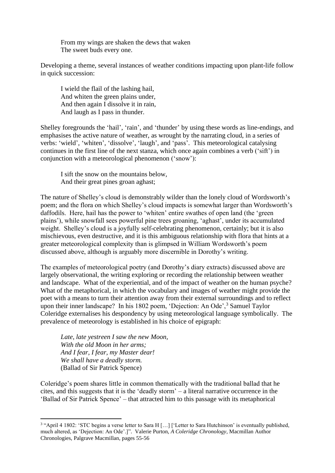From my wings are shaken the dews that waken The sweet buds every one.

Developing a theme, several instances of weather conditions impacting upon plant-life follow in quick succession:

I wield the flail of the lashing hail, And whiten the green plains under, And then again I dissolve it in rain, And laugh as I pass in thunder.

Shelley foregrounds the 'hail', 'rain', and 'thunder' by using these words as line-endings, and emphasises the active nature of weather, as wrought by the narrating cloud, in a series of verbs: 'wield', 'whiten', 'dissolve', 'laugh', and 'pass'. This meteorological catalysing continues in the first line of the next stanza, which once again combines a verb ('sift') in conjunction with a meteorological phenomenon ('snow'):

I sift the snow on the mountains below, And their great pines groan aghast;

The nature of Shelley's cloud is demonstrably wilder than the lonely cloud of Wordsworth's poem; and the flora on which Shelley's cloud impacts is somewhat larger than Wordsworth's daffodils. Here, hail has the power to 'whiten' entire swathes of open land (the 'green plains'), while snowfall sees powerful pine trees groaning, 'aghast', under its accumulated weight. Shelley's cloud is a joyfully self-celebrating phenomenon, certainly; but it is also mischievous, even destructive, and it is this ambiguous relationship with flora that hints at a greater meteorological complexity than is glimpsed in William Wordsworth's poem discussed above, although is arguably more discernible in Dorothy's writing.

The examples of meteorological poetry (and Dorothy's diary extracts) discussed above are largely observational, the writing exploring or recording the relationship between weather and landscape. What of the experiential, and of the impact of weather on the human psyche? What of the metaphorical, in which the vocabulary and images of weather might provide the poet with a means to turn their attention away from their external surroundings and to reflect upon their inner landscape? In his 1802 poem, 'Dejection: An Ode',  $3$  Samuel Taylor Coleridge externalises his despondency by using meteorological language symbolically. The prevalence of meteorology is established in his choice of epigraph:

*Late, late yestreen I saw the new Moon, With the old Moon in her arms; And I fear, I fear, my Master dear! We shall have a deadly storm.* (Ballad of Sir Patrick Spence)

Coleridge's poem shares little in common thematically with the traditional ballad that he cites, and this suggests that it is the 'deadly storm' – a literal narrative occurrence in the 'Ballad of Sir Patrick Spence' – that attracted him to this passage with its metaphorical

<sup>&</sup>lt;sup>3</sup> "April 4 1802: 'STC begins a verse letter to Sara H [...] ['Letter to Sara Hutchinson' is eventually published, much altered, as 'Dejection: An Ode'.]". Valerie Purton, *A Coleridge Chronology*, Macmillan Author Chronologies, Palgrave Macmillan, pages 55-56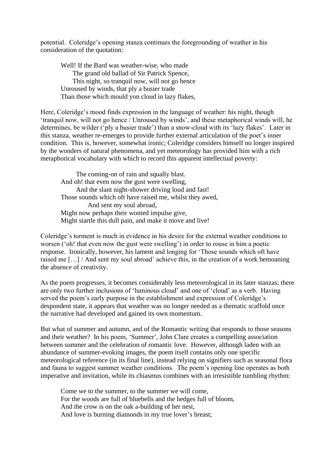potential. Coleridge's opening stanza continues the foregrounding of weather in his consideration of the quotation:

Well! If the Bard was weather-wise, who made The grand old ballad of Sir Patrick Spence, This night, so tranquil now, will not go hence Unroused by winds, that ply a busier trade Than those which mould yon cloud in lazy flakes,

Here, Coleridge's mood finds expression in the language of weather: his night, though 'tranquil now, will not go hence / Unroused by winds', and these metaphorical winds will, he determines, be wilder ('ply a busier trade') than a snow-cloud with its 'lazy flakes'. Later in this stanza, weather re-emerges to provide further external articulation of the poet's inner condition. This is, however, somewhat ironic; Coleridge considers himself no longer inspired by the wonders of natural phenomena, and yet meteorology has provided him with a rich metaphorical vocabulary with which to record this apparent intellectual poverty:

 The coming-on of rain and squally blast. And oh! that even now the gust were swelling, And the slant night-shower driving loud and fast! Those sounds which oft have raised me, whilst they awed, And sent my soul abroad, Might now perhaps their wonted impulse give, Might startle this dull pain, and make it move and live!

Coleridge's torment is much in evidence in his desire for the external weather conditions to worsen ('oh! that even now the gust were swelling') in order to rouse in him a poetic response. Ironically, however, his lament and longing for 'Those sounds which oft have raised me […] / And sent my soul abroad' achieve this, in the creation of a work bemoaning the absence of creativity.

As the poem progresses, it becomes considerably less meteorological in its later stanzas; there are only two further inclusions of 'luminous cloud' and one of 'cloud' as a verb. Having served the poem's early purpose in the establishment and expression of Coleridge's despondent state, it appears that weather was no longer needed as a thematic scaffold once the narrative had developed and gained its own momentum.

But what of summer and autumn, and of the Romantic writing that responds to those seasons and their weather? In his poem, 'Summer', John Clare creates a compelling association between summer and the celebration of romantic love. However, although laden with an abundance of summer-evoking images, the poem itself contains only one specific meteorological reference (in its final line), instead relying on signifiers such as seasonal flora and fauna to suggest summer weather conditions. The poem's opening line operates as both imperative and invitation, while its chiasmus combines with an irresistible tumbling rhythm:

Come we to the summer, to the summer we will come, For the woods are full of bluebells and the hedges full of bloom, And the crow is on the oak a-building of her nest, And love is burning diamonds in my true lover's breast;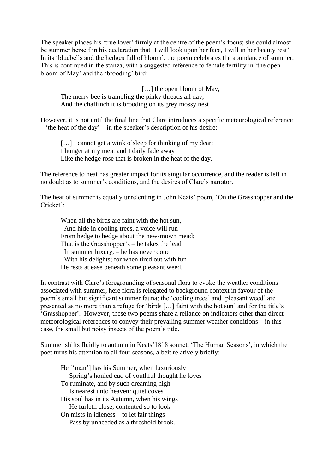The speaker places his 'true lover' firmly at the centre of the poem's focus; she could almost be summer herself in his declaration that 'I will look upon her face, I will in her beauty rest'. In its 'bluebells and the hedges full of bloom', the poem celebrates the abundance of summer. This is continued in the stanza, with a suggested reference to female fertility in 'the open bloom of May' and the 'brooding' bird:

[...] the open bloom of May, The merry bee is trampling the pinky threads all day, And the chaffinch it is brooding on its grey mossy nest

However, it is not until the final line that Clare introduces a specific meteorological reference – 'the heat of the day' – in the speaker's description of his desire:

[...] I cannot get a wink o'sleep for thinking of my dear; I hunger at my meat and I daily fade away Like the hedge rose that is broken in the heat of the day.

The reference to heat has greater impact for its singular occurrence, and the reader is left in no doubt as to summer's conditions, and the desires of Clare's narrator.

The heat of summer is equally unrelenting in John Keats' poem, 'On the Grasshopper and the Cricket':

When all the birds are faint with the hot sun, And hide in cooling trees, a voice will run From hedge to hedge about the new-mown mead; That is the Grasshopper's – he takes the lead In summer luxury, – he has never done With his delights; for when tired out with fun He rests at ease beneath some pleasant weed.

In contrast with Clare's foregrounding of seasonal flora to evoke the weather conditions associated with summer, here flora is relegated to background context in favour of the poem's small but significant summer fauna; the 'cooling trees' and 'pleasant weed' are presented as no more than a refuge for 'birds […] faint with the hot sun' and for the title's 'Grasshopper'. However, these two poems share a reliance on indicators other than direct meteorological references to convey their prevailing summer weather conditions – in this case, the small but noisy insects of the poem's title.

Summer shifts fluidly to autumn in Keats'1818 sonnet, 'The Human Seasons', in which the poet turns his attention to all four seasons, albeit relatively briefly:

He ['man'] has his Summer, when luxuriously Spring's honied cud of youthful thought he loves To ruminate, and by such dreaming high Is nearest unto heaven: quiet coves His soul has in its Autumn, when his wings He furleth close; contented so to look On mists in idleness – to let fair things Pass by unheeded as a threshold brook.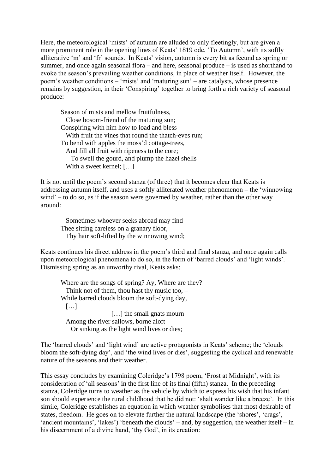Here, the meteorological 'mists' of autumn are alluded to only fleetingly, but are given a more prominent role in the opening lines of Keats' 1819 ode, 'To Autumn', with its softly alliterative 'm' and 'fr' sounds. In Keats' vision, autumn is every bit as fecund as spring or summer, and once again seasonal flora – and here, seasonal produce – is used as shorthand to evoke the season's prevailing weather conditions, in place of weather itself. However, the poem's weather conditions – 'mists' and 'maturing sun' – are catalysts, whose presence remains by suggestion, in their 'Conspiring' together to bring forth a rich variety of seasonal produce:

Season of mists and mellow fruitfulness, Close bosom-friend of the maturing sun; Conspiring with him how to load and bless With fruit the vines that round the thatch-eves run; To bend with apples the moss'd cottage-trees, And fill all fruit with ripeness to the core; To swell the gourd, and plump the hazel shells With a sweet kernel; [...]

It is not until the poem's second stanza (of three) that it becomes clear that Keats is addressing autumn itself, and uses a softly alliterated weather phenomenon – the 'winnowing wind' – to do so, as if the season were governed by weather, rather than the other way around:

 Sometimes whoever seeks abroad may find Thee sitting careless on a granary floor, Thy hair soft-lifted by the winnowing wind;

Keats continues his direct address in the poem's third and final stanza, and once again calls upon meteorological phenomena to do so, in the form of 'barred clouds' and 'light winds'. Dismissing spring as an unworthy rival, Keats asks:

Where are the songs of spring? Ay, Where are they? Think not of them, thou hast thy music too, – While barred clouds bloom the soft-dying day, […] [...] the small gnats mourn Among the river sallows, borne aloft Or sinking as the light wind lives or dies;

The 'barred clouds' and 'light wind' are active protagonists in Keats' scheme; the 'clouds bloom the soft-dying day', and 'the wind lives or dies', suggesting the cyclical and renewable nature of the seasons and their weather.

This essay concludes by examining Coleridge's 1798 poem, 'Frost at Midnight', with its consideration of 'all seasons' in the first line of its final (fifth) stanza. In the preceding stanza, Coleridge turns to weather as the vehicle by which to express his wish that his infant son should experience the rural childhood that he did not: 'shalt wander like a breeze'. In this simile, Coleridge establishes an equation in which weather symbolises that most desirable of states, freedom. He goes on to elevate further the natural landscape (the 'shores', 'crags', 'ancient mountains', 'lakes') 'beneath the clouds' – and, by suggestion, the weather itself – in his discernment of a divine hand, 'thy God', in its creation: